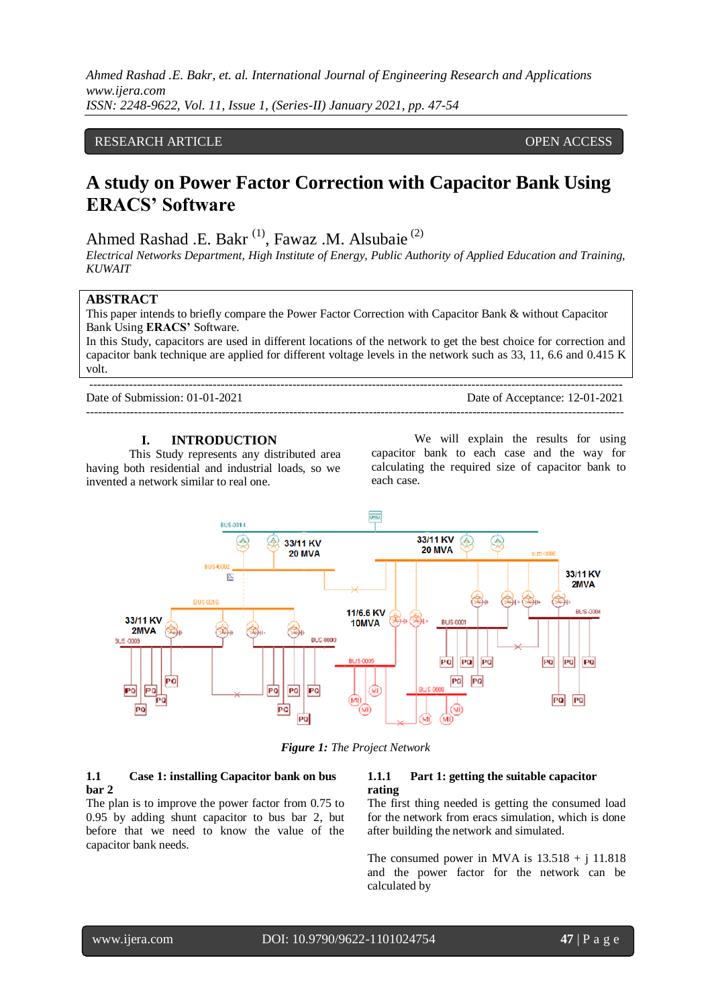# RESEARCH ARTICLE **CONTRACT ARTICLE** AND A SERVICE OPEN ACCESS OF A SERVICE OF A SERVICE OPEN ACCESS OF A SERVICE OF A SERVICE OF A SERVICE OF A SERVICE OF A SERVICE OF A SERVICE OF A SERVICE OF A SERVICE OF A SERVICE OF A

# **A study on Power Factor Correction with Capacitor Bank Using ERACS' Software**

Ahmed Rashad .E. Bakr<sup>(1)</sup>, Fawaz .M. Alsubaie<sup>(2)</sup>

--------------------------------------------------------------------------------------------------------------------------------------

*Electrical Networks Department, High Institute of Energy, Public Authority of Applied Education and Training, KUWAIT* 

## **ABSTRACT**

This paper intends to briefly compare the Power Factor Correction with Capacitor Bank & without Capacitor Bank Using **ERACS'** Software.

In this Study, capacitors are used in different locations of the network to get the best choice for correction and capacitor bank technique are applied for different voltage levels in the network such as 33, 11, 6.6 and 0.415 K volt.

Date of Submission: 01-01-2021 Date of Acceptance: 12-01-2021 ---------------------------------------------------------------------------------------------------------------------------------------

## **I. INTRODUCTION**

This Study represents any distributed area having both residential and industrial loads, so we invented a network similar to real one.

We will explain the results for using capacitor bank to each case and the way for calculating the required size of capacitor bank to each case.



*Figure 1: The Project Network*

#### **1.1 Case 1: installing Capacitor bank on bus bar 2**

The plan is to improve the power factor from 0.75 to 0.95 by adding shunt capacitor to bus bar 2, but before that we need to know the value of the capacitor bank needs.

#### **1.1.1 Part 1: getting the suitable capacitor rating**

The first thing needed is getting the consumed load for the network from eracs simulation, which is done after building the network and simulated.

The consumed power in MVA is  $13.518 + i 11.818$ and the power factor for the network can be calculated by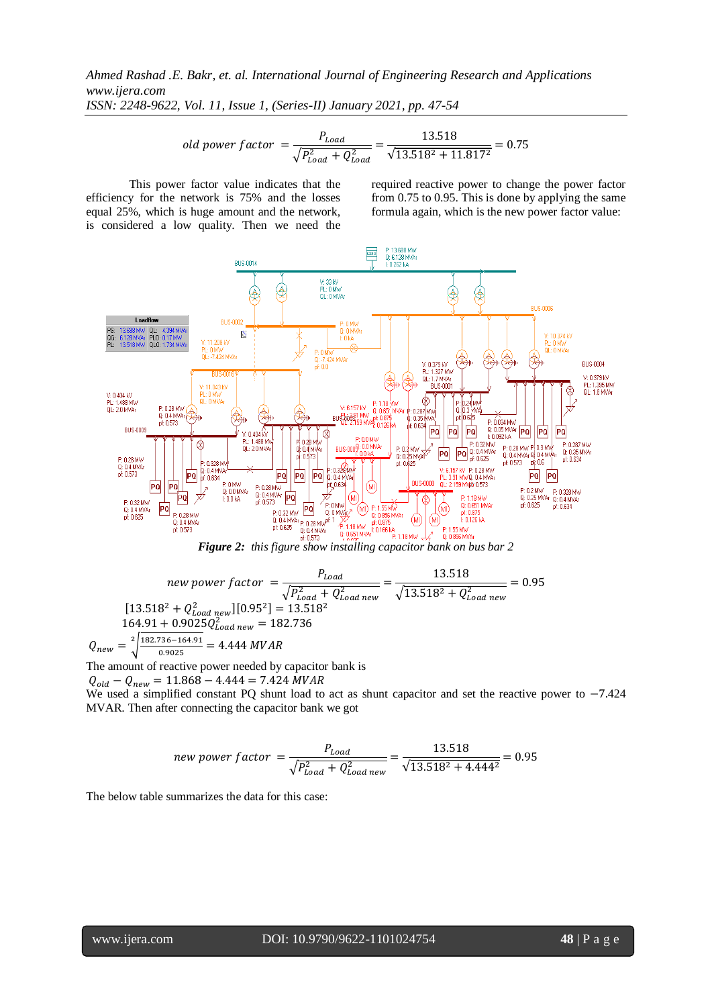old power factor 
$$
=
$$
  $\frac{P_{load}}{\sqrt{P_{load}^2 + Q_{load}^2}} = \frac{13.518}{\sqrt{13.518^2 + 11.817^2}} = 0.75$ 

This power factor value indicates that the efficiency for the network is 75% and the losses equal 25%, which is huge amount and the network, is considered a low quality. Then we need the required reactive power to change the power factor from 0.75 to 0.95. This is done by applying the same formula again, which is the new power factor value:



*Figure 2: this figure show installing capacitor bank on bus bar 2* 

$$
new power factor = \frac{P_{Load}}{\sqrt{P_{Load}^2 + Q_{Load new}^2}} = \frac{13.518}{\sqrt{13.518^2 + Q_{Load new}^2}} = 0.95
$$
\n
$$
[13.518^2 + Q_{Load new}^2][0.95^2] = 13.518^2
$$
\n
$$
164.91 + 0.9025Q_{Load new}^2 = 182.736
$$
\n
$$
Q_{new} = \sqrt[2]{\frac{182.736 - 164.91}{0.9025}} = 4.444 MVAR
$$

The amount of reactive power needed by capacitor bank is

 $Q_{old} - Q_{new} = 11.868 - 4.444 = 7.424 \text{ } MVAR$ 

We used a simplified constant PQ shunt load to act as shunt capacitor and set the reactive power to  $-7.424$ MVAR. Then after connecting the capacitor bank we got

$$
new power factor = \frac{P_{Load}}{\sqrt{P_{Load}^2 + Q_{Load new}^2}} = \frac{13.518}{\sqrt{13.518^2 + 4.444^2}} = 0.95
$$

The below table summarizes the data for this case: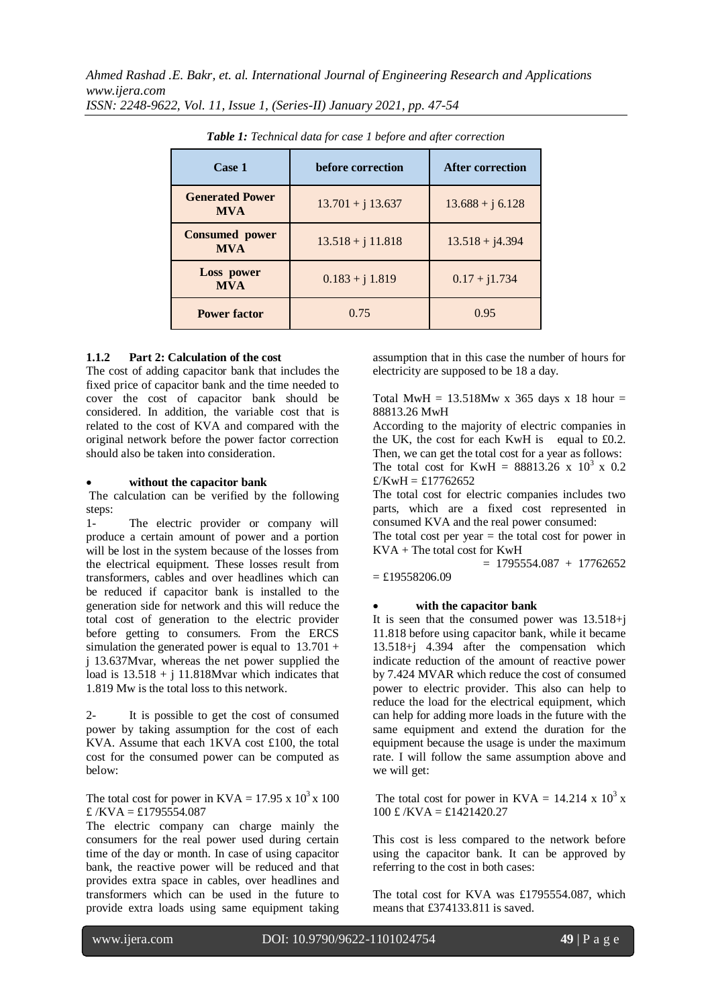| Case 1                               | before correction   | <b>After correction</b> |
|--------------------------------------|---------------------|-------------------------|
| <b>Generated Power</b><br><b>MVA</b> | $13.701 + j 13.637$ | $13.688 + j\ 6.128$     |
| <b>Consumed power</b><br><b>MVA</b>  | $13.518 + j 11.818$ | $13.518 + j4.394$       |
| Loss power<br><b>MVA</b>             | $0.183 + j 1.819$   | $0.17 + j1.734$         |
| <b>Power factor</b>                  | 0.75                | 0.95                    |

*Table 1: Technical data for case 1 before and after correction*

## **1.1.2 Part 2: Calculation of the cost**

The cost of adding capacitor bank that includes the fixed price of capacitor bank and the time needed to cover the cost of capacitor bank should be considered. In addition, the variable cost that is related to the cost of KVA and compared with the original network before the power factor correction should also be taken into consideration.

#### **without the capacitor bank**

The calculation can be verified by the following steps:

1- The electric provider or company will produce a certain amount of power and a portion will be lost in the system because of the losses from the electrical equipment. These losses result from transformers, cables and over headlines which can be reduced if capacitor bank is installed to the generation side for network and this will reduce the total cost of generation to the electric provider before getting to consumers. From the ERCS simulation the generated power is equal to  $13.701 +$ j 13.637Mvar, whereas the net power supplied the load is  $13.518 + j 11.818Mvar$  which indicates that 1.819 Mw is the total loss to this network.

2- It is possible to get the cost of consumed power by taking assumption for the cost of each KVA. Assume that each 1KVA cost £100, the total cost for the consumed power can be computed as below:

## The total cost for power in KVA =  $17.95 \times 10^3 \times 100$  $E$ /KVA = £1795554.087

The electric company can charge mainly the consumers for the real power used during certain time of the day or month. In case of using capacitor bank, the reactive power will be reduced and that provides extra space in cables, over headlines and transformers which can be used in the future to provide extra loads using same equipment taking assumption that in this case the number of hours for electricity are supposed to be 18 a day.

Total MwH =  $13.518Mw$  x 365 days x 18 hour = 88813.26 MwH

According to the majority of electric companies in the UK, the cost for each KwH is equal to  $£0.2$ . Then, we can get the total cost for a year as follows: The total cost for KwH =  $88813.26 \times 10^3 \times 0.2$  $f/KwH = f17762652$ 

The total cost for electric companies includes two parts, which are a fixed cost represented in consumed KVA and the real power consumed:

The total cost per year  $=$  the total cost for power in KVA + The total cost for KwH

 $= 1795554.087 + 17762652$  $=$  £19558206.09

#### **with the capacitor bank**

It is seen that the consumed power was 13.518+j 11.818 before using capacitor bank, while it became 13.518+j 4.394 after the compensation which indicate reduction of the amount of reactive power by 7.424 MVAR which reduce the cost of consumed power to electric provider. This also can help to reduce the load for the electrical equipment, which can help for adding more loads in the future with the same equipment and extend the duration for the equipment because the usage is under the maximum rate. I will follow the same assumption above and we will get:

The total cost for power in  $KVA = 14.214 \times 10^3 \text{ x}$  $100 \text{ £} /$ KVA = £1421420.27

This cost is less compared to the network before using the capacitor bank. It can be approved by referring to the cost in both cases:

The total cost for KVA was £1795554.087, which means that £374133.811 is saved.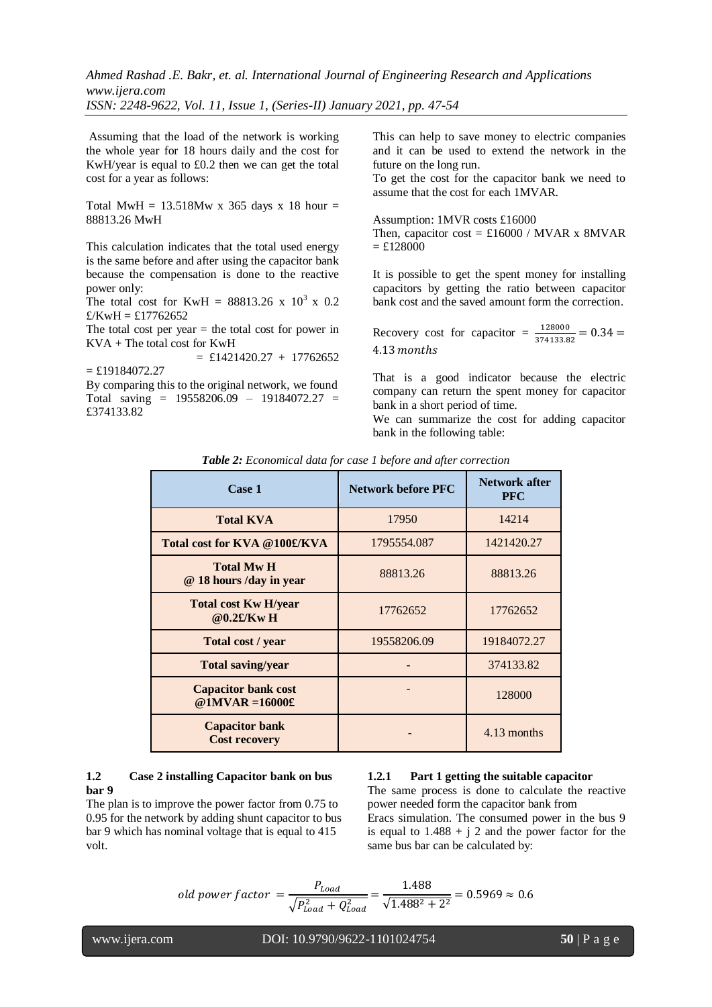Assuming that the load of the network is working the whole year for 18 hours daily and the cost for KwH/year is equal to £0.2 then we can get the total cost for a year as follows:

Total MwH =  $13.518Mw$  x 365 days x 18 hour = 88813.26 MwH

This calculation indicates that the total used energy is the same before and after using the capacitor bank because the compensation is done to the reactive power only:

The total cost for KwH =  $88813.26 \times 10^3 \times 0.2$  $\pounds$ /KwH = £17762652

The total cost per year  $=$  the total cost for power in KVA + The total cost for KwH

 $=$  £1421420.27 + 17762652  $=$  £19184072.27 By comparing this to the original network, we found Total saving = 19558206.09 – 19184072.27 = £374133.82

This can help to save money to electric companies and it can be used to extend the network in the future on the long run.

To get the cost for the capacitor bank we need to assume that the cost for each 1MVAR.

Assumption: 1MVR costs £16000

Then, capacitor cost =  $£16000 / MVAR \times 8MVAR$  $=$  £128000

It is possible to get the spent money for installing capacitors by getting the ratio between capacitor bank cost and the saved amount form the correction.

Recovery cost for capacitor =  $\frac{128000}{374133.82}$  = 4.13 months

That is a good indicator because the electric company can return the spent money for capacitor bank in a short period of time.

We can summarize the cost for adding capacitor bank in the following table:

| Case 1                                           | <b>Network before PFC</b> | Network after<br><b>PFC</b> |
|--------------------------------------------------|---------------------------|-----------------------------|
| <b>Total KVA</b>                                 | 17950                     | 14214                       |
| Total cost for KVA @100£/KVA                     | 1795554.087               | 1421420.27                  |
| <b>Total Mw H</b><br>@ 18 hours /day in year     | 88813.26                  | 88813.26                    |
| <b>Total cost Kw H/year</b><br>$@0.2E/Kw$ H      | 17762652                  | 17762652                    |
| Total cost / year                                | 19558206.09               | 19184072.27                 |
| <b>Total saving/year</b>                         |                           | 374133.82                   |
| <b>Capacitor bank cost</b><br>@ $1MVAR = 16000£$ |                           | 128000                      |
| <b>Capacitor bank</b><br><b>Cost recovery</b>    |                           | 4.13 months                 |

*Table 2: Economical data for case 1 before and after correction*

# **1.2 Case 2 installing Capacitor bank on bus bar 9**

The plan is to improve the power factor from 0.75 to 0.95 for the network by adding shunt capacitor to bus bar 9 which has nominal voltage that is equal to 415 volt.

## **1.2.1 Part 1 getting the suitable capacitor**

The same process is done to calculate the reactive power needed form the capacitor bank from Eracs simulation. The consumed power in the bus 9 is equal to  $1.488 + i$  2 and the power factor for the same bus bar can be calculated by:

old power factor 
$$
=
$$
  $\frac{P_{Load}}{\sqrt{P_{Load}^2 + Q_{Load}^2}} = \frac{1.488}{\sqrt{1.488^2 + 2^2}} = 0.5969 \approx 0.6$ 

www.ijera.com DOI: 10.9790/9622-1101024754 **50** | P a g e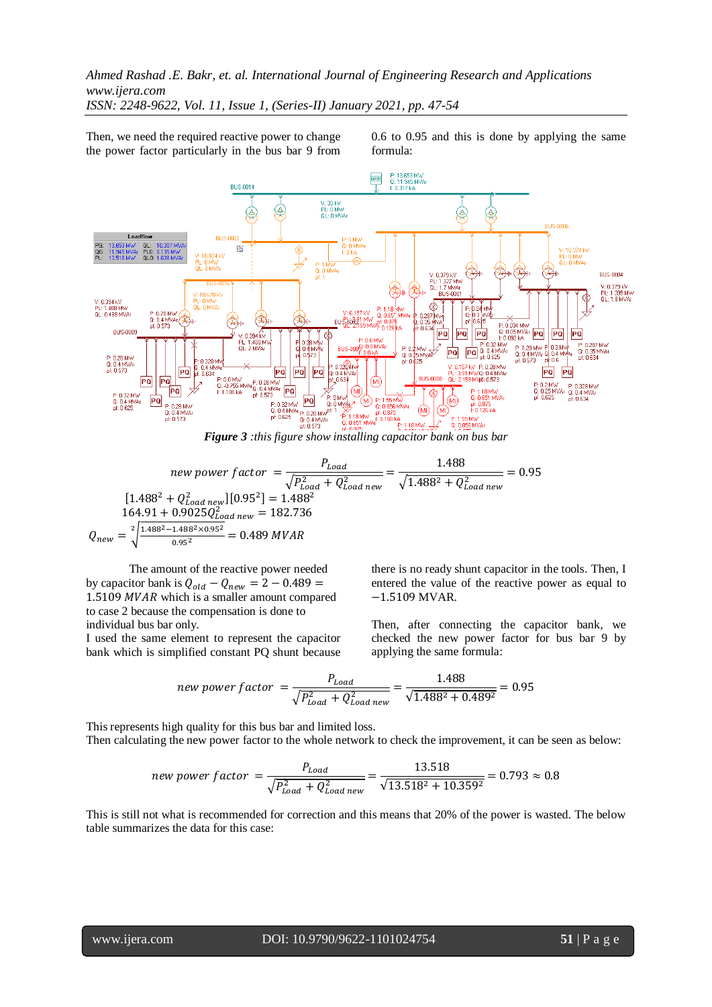*Ahmed Rashad .E. Bakr, et. al. International Journal of Engineering Research and Applications www.ijera.com*

*ISSN: 2248-9622, Vol. 11, Issue 1, (Series-II) January 2021, pp. 47-54*

Then, we need the required reactive power to change the power factor particularly in the bus bar 9 from

0.6 to 0.95 and this is done by applying the same formula:



*Figure 3 :this figure show installing capacitor bank on bus bar*

new power factor 
$$
=
$$
  $\frac{P_{Load}}{\sqrt{P_{Load}^2 + Q_{Load new}^2}} = \frac{1.488}{\sqrt{1.488^2 + Q_{Load new}^2}} = 0.95$   
\n $[1.488^2 + Q_{Load new}^2][0.95^2] = 1.488^2$   
\n $164.91 + 0.9025Q_{Load new}^2 = 182.736$   
\n $Q_{new} = \sqrt[2]{\frac{1.488^2 - 1.488^2 \times 0.95^2}{0.95^2}} = 0.489 \text{ W/AR}$ 

The amount of the reactive power needed by capacitor bank is  $Q_{old} - Q_{new} = 2 - 0.489 =$  $1.5109$  MVAR which is a smaller amount compared to case 2 because the compensation is done to individual bus bar only.

I used the same element to represent the capacitor bank which is simplified constant PQ shunt because there is no ready shunt capacitor in the tools. Then, I entered the value of the reactive power as equal to  $-1.5109$  MVAR.

Then, after connecting the capacitor bank, we checked the new power factor for bus bar 9 by applying the same formula:

$$
new power factor = \frac{P_{Load}}{\sqrt{P_{Load}^2 + Q_{Load new}^2}} = \frac{1.488}{\sqrt{1.488^2 + 0.489^2}} = 0.95
$$

This represents high quality for this bus bar and limited loss. Then calculating the new power factor to the whole network to check the improvement, it can be seen as below:

$$
new power factor = \frac{P_{Load}}{\sqrt{P_{Load}^2 + Q_{Load new}^2}} = \frac{13.518}{\sqrt{13.518^2 + 10.359^2}} = 0.793 \approx 0.8
$$

This is still not what is recommended for correction and this means that 20% of the power is wasted. The below table summarizes the data for this case: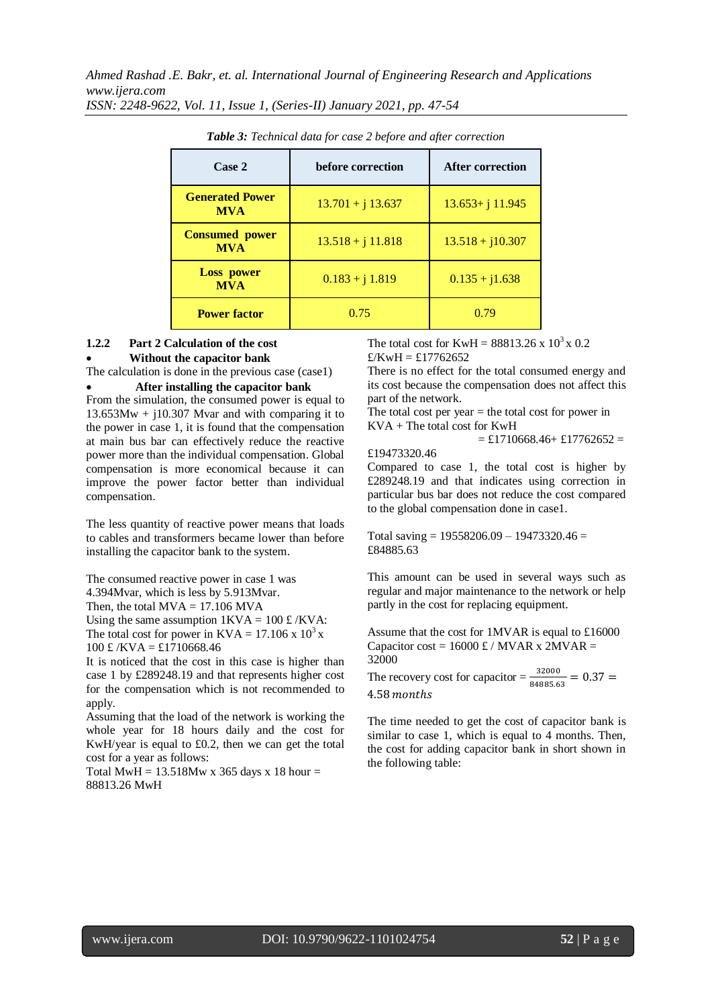| Case 2                               | before correction   | <b>After correction</b> |
|--------------------------------------|---------------------|-------------------------|
| <b>Generated Power</b><br><b>MVA</b> | $13.701 + j 13.637$ | $13.653 + j 11.945$     |
| <b>Consumed power</b><br><b>MVA</b>  | $13.518 + j 11.818$ | $13.518 + j10.307$      |
| <b>Loss power</b><br><b>MVA</b>      | $0.183 + j 1.819$   | $0.135 + j1.638$        |
| <b>Power factor</b>                  | 0.75                | 0.79                    |

*Table 3: Technical data for case 2 before and after correction*

## **1.2.2 Part 2 Calculation of the cost Without the capacitor bank**

The calculation is done in the previous case (case1)

## **After installing the capacitor bank**

From the simulation, the consumed power is equal to  $13.653Mw + i10.307$  Mvar and with comparing it to the power in case 1, it is found that the compensation at main bus bar can effectively reduce the reactive power more than the individual compensation. Global compensation is more economical because it can improve the power factor better than individual compensation.

The less quantity of reactive power means that loads to cables and transformers became lower than before installing the capacitor bank to the system.

The consumed reactive power in case 1 was 4.394Mvar, which is less by 5.913Mvar. Then, the total  $MVA = 17.106$  MVA Using the same assumption  $1KVA = 100 \text{ £} / KVA$ : The total cost for power in  $KVA = 17.106 \times 10^3 \text{ x}$ 

 $100 \text{ £} /$ KVA = £1710668.46

It is noticed that the cost in this case is higher than case 1 by £289248.19 and that represents higher cost for the compensation which is not recommended to apply.

Assuming that the load of the network is working the whole year for 18 hours daily and the cost for KwH/year is equal to £0.2, then we can get the total cost for a year as follows:

Total MwH =  $13.518$ Mw x 365 days x 18 hour = 88813.26 MwH

The total cost for KwH =  $88813.26 \times 10^3 \times 0.2$  $E/KwH = £17762652$ 

There is no effect for the total consumed energy and its cost because the compensation does not affect this part of the network.

The total cost per year  $=$  the total cost for power in KVA + The total cost for KwH  $=$  £1710668.46+ £17762652 =

# £19473320.46

Compared to case 1, the total cost is higher by £289248.19 and that indicates using correction in particular bus bar does not reduce the cost compared to the global compensation done in case1.

Total saving =  $19558206.09 - 19473320.46 =$ £84885.63

This amount can be used in several ways such as regular and major maintenance to the network or help partly in the cost for replacing equipment.

Assume that the cost for 1MVAR is equal to £16000 Capacitor cost =  $16000 \text{ £}$  / MVAR x 2MVAR = 32000

The recovery cost for capacitor =  $\frac{32000}{84885.63}$  = 4.58 months

The time needed to get the cost of capacitor bank is similar to case 1, which is equal to 4 months. Then, the cost for adding capacitor bank in short shown in the following table: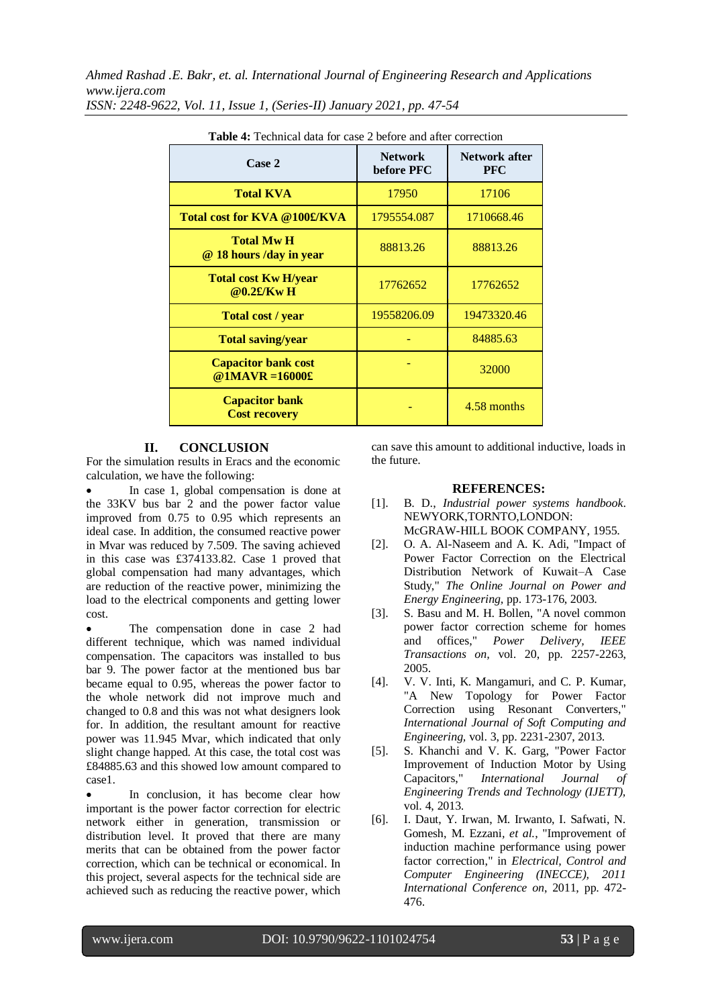| <b>Table 4:</b> Technical data for case 2 before and after correction |                              |                                    |  |  |
|-----------------------------------------------------------------------|------------------------------|------------------------------------|--|--|
| Case 2                                                                | <b>Network</b><br>before PFC | <b>Network after</b><br><b>PFC</b> |  |  |
| <b>Total KVA</b>                                                      | 17950                        | 17106                              |  |  |
| Total cost for KVA @100£/KVA                                          | 1795554.087                  | 1710668.46                         |  |  |
| <b>Total Mw H</b><br>@ 18 hours /day in year                          | 88813.26                     | 88813.26                           |  |  |
| <b>Total cost Kw H/year</b><br>@0.2£/Kw H                             | 17762652                     | 17762652                           |  |  |
| Total cost / year                                                     | 19558206.09                  | 19473320.46                        |  |  |
| <b>Total saving/year</b>                                              |                              | 84885.63                           |  |  |
| <b>Capacitor bank cost</b><br>@1MAVR = $16000$ £                      |                              | 32000                              |  |  |
| <b>Capacitor bank</b><br><b>Cost recovery</b>                         |                              | 4.58 months                        |  |  |

# **II. CONCLUSION**

For the simulation results in Eracs and the economic calculation, we have the following:

 In case 1, global compensation is done at the 33KV bus bar 2 and the power factor value improved from 0.75 to 0.95 which represents an ideal case. In addition, the consumed reactive power in Mvar was reduced by 7.509. The saving achieved in this case was £374133.82. Case 1 proved that global compensation had many advantages, which are reduction of the reactive power, minimizing the load to the electrical components and getting lower cost.

 The compensation done in case 2 had different technique, which was named individual compensation. The capacitors was installed to bus bar 9. The power factor at the mentioned bus bar became equal to 0.95, whereas the power factor to the whole network did not improve much and changed to 0.8 and this was not what designers look for. In addition, the resultant amount for reactive power was 11.945 Mvar, which indicated that only slight change happed. At this case, the total cost was £84885.63 and this showed low amount compared to case1.

 In conclusion, it has become clear how important is the power factor correction for electric network either in generation, transmission or distribution level. It proved that there are many merits that can be obtained from the power factor correction, which can be technical or economical. In this project, several aspects for the technical side are achieved such as reducing the reactive power, which

can save this amount to additional inductive, loads in the future.

## **REFERENCES:**

- [1]. B. D., *Industrial power systems handbook*. NEWYORK,TORNTO,LONDON: McGRAW-HILL BOOK COMPANY, 1955.
- [2]. O. A. Al-Naseem and A. K. Adi, "Impact of Power Factor Correction on the Electrical Distribution Network of Kuwait–A Case Study," *The Online Journal on Power and Energy Engineering,* pp. 173-176, 2003.
- [3]. S. Basu and M. H. Bollen, "A novel common power factor correction scheme for homes and offices," *Power Delivery, IEEE Transactions on,* vol. 20, pp. 2257-2263, 2005.
- [4]. V. V. Inti, K. Mangamuri, and C. P. Kumar, "A New Topology for Power Factor Correction using Resonant Converters," *International Journal of Soft Computing and Engineering,* vol. 3, pp. 2231-2307, 2013.
- [5]. S. Khanchi and V. K. Garg, "Power Factor Improvement of Induction Motor by Using Capacitors," *International Journal of Engineering Trends and Technology (IJETT),*  vol. 4, 2013.
- [6]. I. Daut, Y. Irwan, M. Irwanto, I. Safwati, N. Gomesh, M. Ezzani*, et al.*, "Improvement of induction machine performance using power factor correction," in *Electrical, Control and Computer Engineering (INECCE), 2011 International Conference on*, 2011, pp. 472- 476.